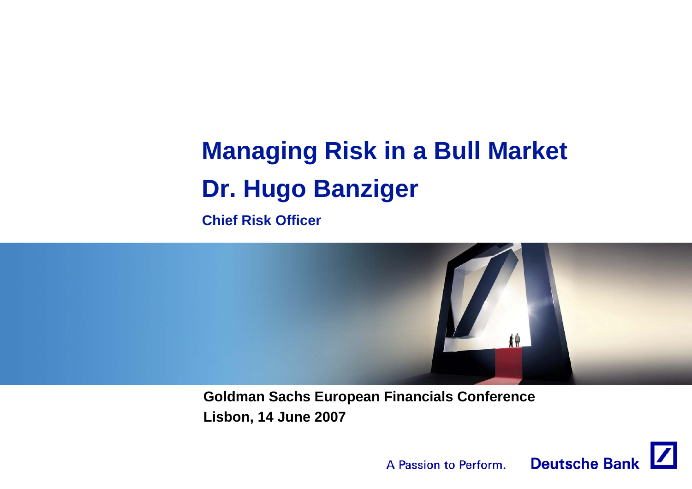# **Managing Risk in a Bull Market Dr. Hugo Banziger**

**Chief Risk Officer**



**Goldman Sachs European Financials Conference Lisbon, 14 June 2007**

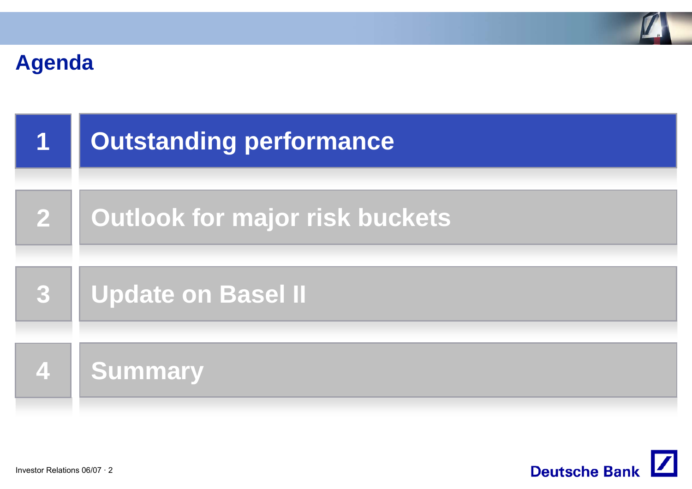

### **Agenda**

| $\mathbf 1$             | <b>Outstanding performance</b> |
|-------------------------|--------------------------------|
| $\overline{\mathbf{2}}$ | Outlook for major risk buckets |
| 3                       | <b>Update on Basel II</b>      |
| $\overline{\mathbf{4}}$ | <b>Summary</b>                 |

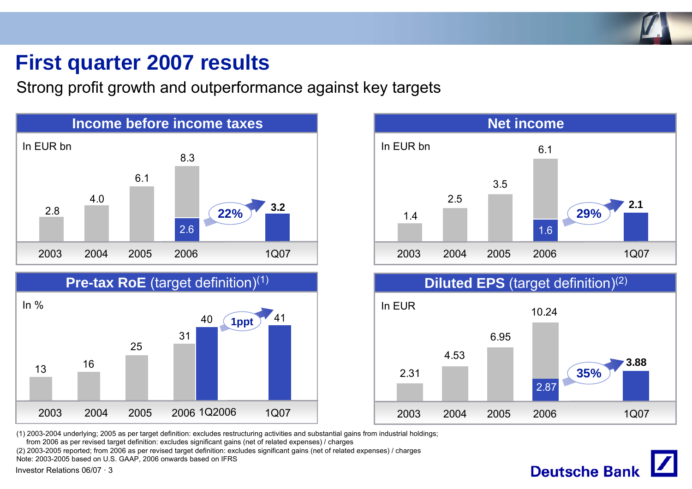

### **First quarter 2007 results**

Strong profit growth and outperformance against key targets



![](_page_2_Figure_4.jpeg)

![](_page_2_Figure_5.jpeg)

(1) 2003-2004 underlying; 2005 as per target definition: excludes restructuring activities and substantial gains from industrial holdings;

from 2006 as per revised target definition: excludes significant gains (net of related expenses) / charges

(2) 2003-2005 reported; from 2006 as per revised target definition: excludes significant gains (net of related expenses) / charges

Note: 2003-2005 based on U.S. GAAP, 2006 onwards based on IFRS

Investor Relations 06/07 · 3

![](_page_2_Picture_11.jpeg)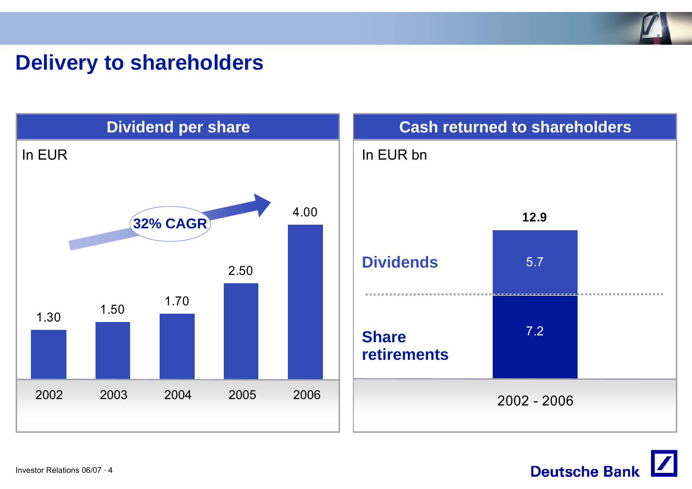![](_page_3_Figure_0.jpeg)

### **Delivery to shareholders**

![](_page_3_Figure_2.jpeg)

![](_page_3_Picture_3.jpeg)

Investor Relations 06/07 · 4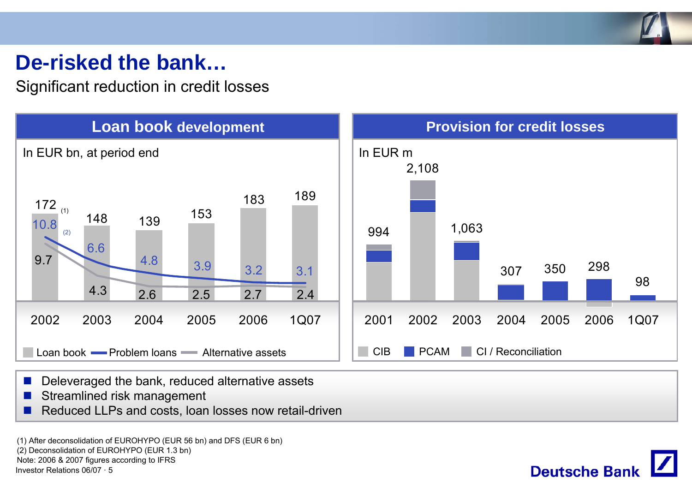![](_page_4_Picture_0.jpeg)

### **De-risked the bank…**

Significant reduction in credit losses

![](_page_4_Figure_3.jpeg)

![](_page_4_Figure_4.jpeg)

- **All** Deleveraged the bank, reduced alternative assets
- $\mathcal{L}_{\mathcal{A}}$ Streamlined risk management
- F. Reduced LLPs and costs, loan losses now retail-driven

Investor Relations 06/07 · 5(1) After deconsolidation of EUROHYPO (EUR 56 bn) and DFS (EUR 6 bn) (2) Deconsolidation of EUROHYPO (EUR 1.3 bn) Note: 2006 & 2007 figures according to IFRS

![](_page_4_Picture_9.jpeg)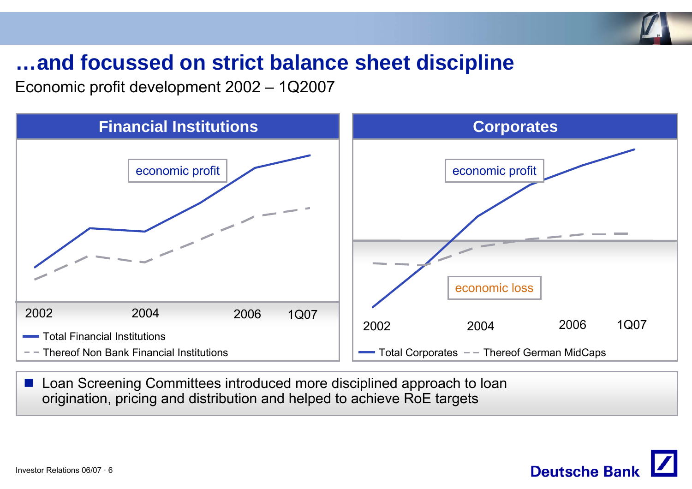![](_page_5_Picture_0.jpeg)

### **…and focussed on strict balance sheet discipline**

Economic profit development 2002 – 1Q2007

![](_page_5_Figure_3.jpeg)

**Loan Screening Committees introduced more disciplined approach to loan** origination, pricing and distribution and helped to achieve RoE targets

![](_page_5_Picture_5.jpeg)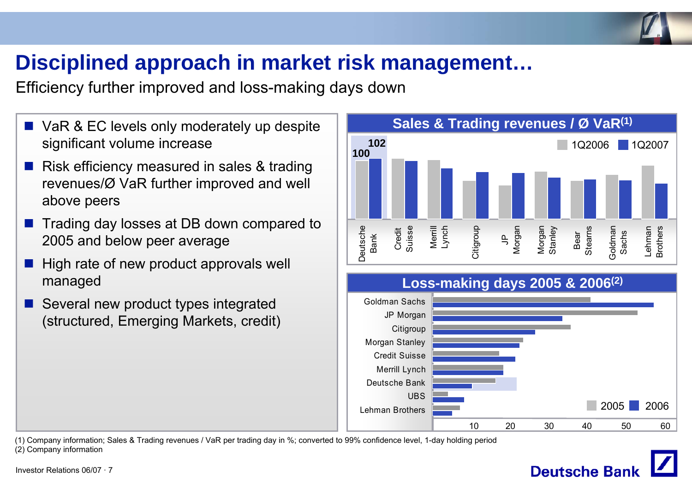![](_page_6_Picture_0.jpeg)

## **Disciplined approach in market risk management…**

Efficiency further improved and loss-making days down

- VaR & EC levels only moderately up despite significant volume increase
- $\mathbb{R}^3$  Risk efficiency measured in sales & trading revenues/Ø VaR further improved and well above peers
- $\mathbb{R}^2$  Trading day losses at DB down compared to 2005 and below peer average
- $\mathbb{R}^2$  High rate of new product approvals well managed
- $\mathbb{R}^2$  Several new product types integrated (structured, Emerging Markets, credit)

![](_page_6_Figure_8.jpeg)

![](_page_6_Figure_9.jpeg)

(1) Company information; Sales & Trading revenues / VaR per trading day in %; converted to 99% confidence level, 1-day holding period (2) Company information

# **Deutsche Bar**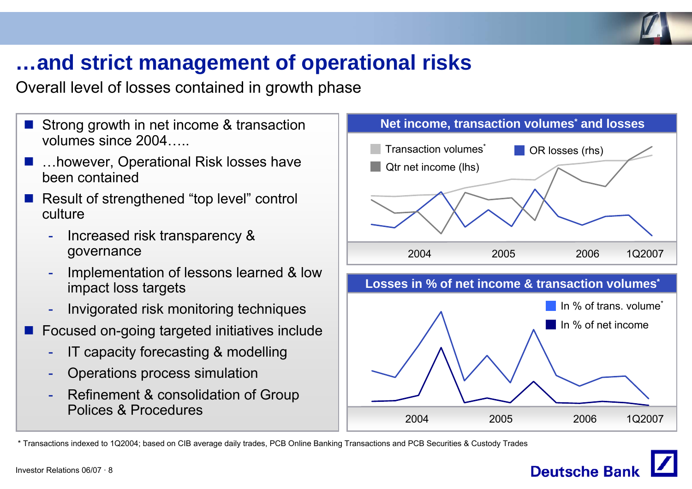![](_page_7_Picture_0.jpeg)

### **…and strict management of operational risks**

Overall level of losses contained in growth phase

- $\mathbb{R}^3$  Strong growth in net income & transaction volumes since 2004…..
- $\mathbb{R}^2$  …however, Operational Risk losses have been contained
- Result of strengthened "top level" control culture
	- - Increased risk transparency & governance
	- - Implementation of lessons learned & low impact loss targets
	- -Invigorated risk monitoring techniques
- $\mathbb{R}^2$  Focused on-going targeted initiatives include
	- -IT capacity forecasting & modelling
	- -Operations process simulation
	- - Refinement & consolidation of Group Polices & Procedures

![](_page_7_Figure_13.jpeg)

\* Transactions indexed to 1Q2004; based on CIB average daily trades, PCB Online Banking Transactions and PCB Securities & Custody Trades

![](_page_7_Picture_15.jpeg)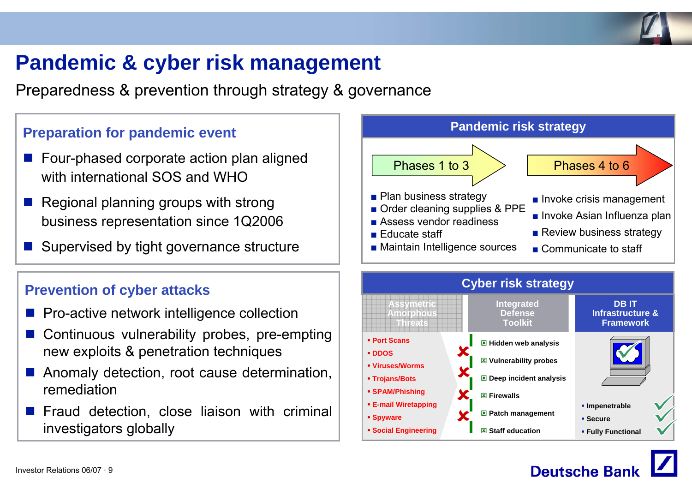![](_page_8_Picture_0.jpeg)

### **Pandemic & cyber risk management**

Preparedness & prevention through strategy & governance

- Four-phased corporate action plan aligned with international SOS and WHO
- $\blacksquare$  Regional planning groups with strong business representation since 1Q2006
- Supervised by tight governance structure

#### **Prevention of cyber attacks**

- $\mathbb{R}^2$ Pro-active network intelligence collection
- $\mathbb{R}^2$  Continuous vulnerability probes, pre-empting new exploits & penetration techniques
- $\mathbb{R}^2$  Anomaly detection, root cause determination, remediation
- **Figuand detection, close liaison with criminal** investigators globally

![](_page_8_Figure_12.jpeg)

![](_page_8_Figure_13.jpeg)

![](_page_8_Picture_14.jpeg)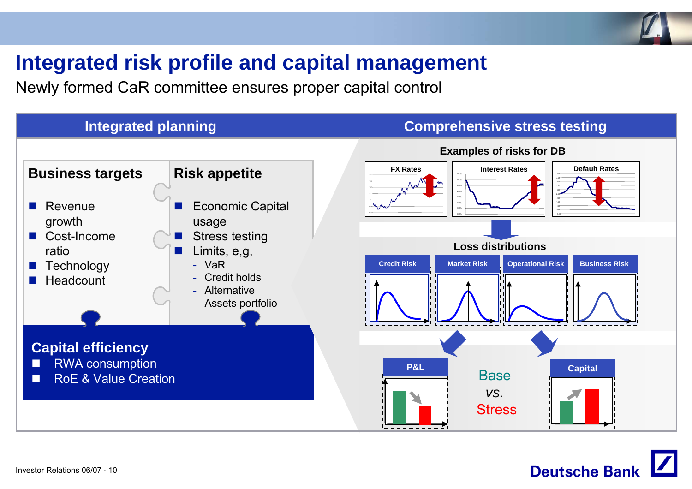![](_page_9_Picture_0.jpeg)

### **Integrated risk profile and capital management**

Newly formed CaR committee ensures proper capital control

#### **Integrated planning Comprehensive stress testing**

![](_page_9_Figure_5.jpeg)

![](_page_9_Picture_6.jpeg)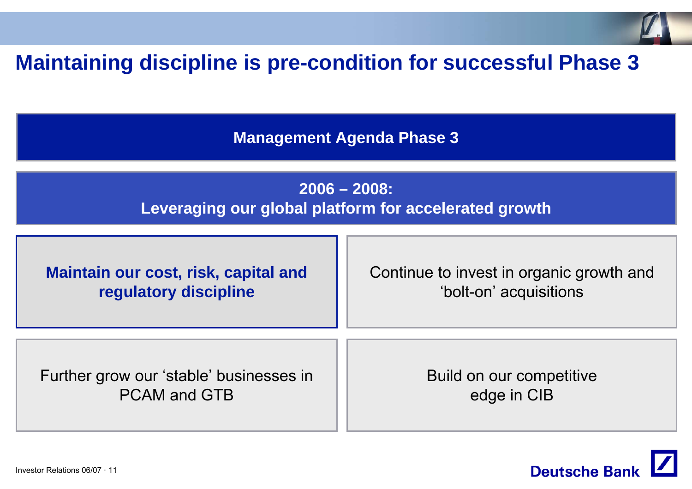![](_page_10_Picture_0.jpeg)

### **Maintaining discipline is pre-condition for successful Phase 3**

**Management Agenda Phase 3**

**2006 – 2008: Leveraging our global platform for accelerated growth**

**Maintain our cost, risk, capital and regulatory discipline**

Continue to invest in organic growth and 'bolt-on' acquisitions

Further grow our 'stable' businesses in PCAM and GTB

Build on our competitive edge in CIB

![](_page_10_Picture_8.jpeg)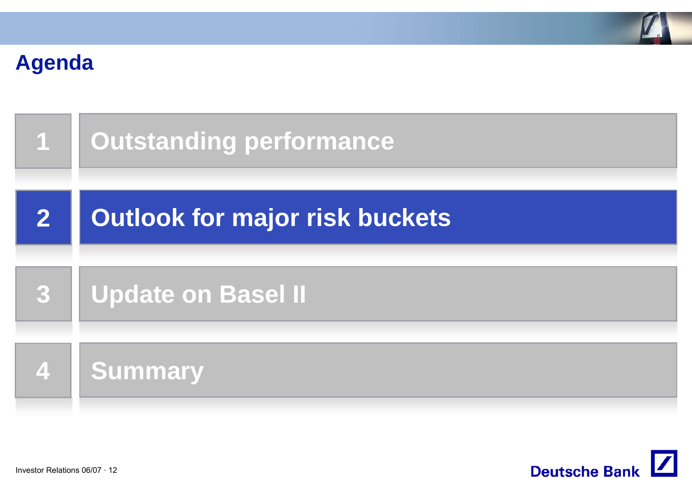![](_page_11_Picture_0.jpeg)

### **Agenda**

| $\overline{\phantom{a}}$ | <b>Outstanding performance</b>        |
|--------------------------|---------------------------------------|
| $\overline{2}$           | <b>Outlook for major risk buckets</b> |
| 3                        | <b>Update on Basel II</b>             |
| [4                       | <b>Summary</b>                        |

![](_page_11_Picture_3.jpeg)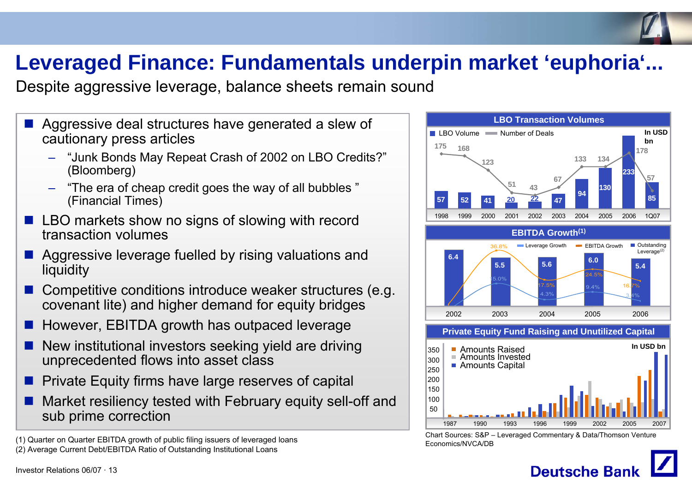## **Leveraged Finance: Fundamentals underpin market 'euphoria'...**

Despite aggressive leverage, balance sheets remain sound

- $\mathbb{R}^3$  Aggressive deal structures have generated a slew of cautionary press articles
	- – "Junk Bonds May Repeat Crash of 2002 on LBO Credits?" (Bloomberg)
	- "The era of cheap credit goes the way of all bubbles " (Financial Times)
- $\mathbb{R}^3$  LBO markets show no signs of slowing with record transaction volumes
- $\mathbb{R}^2$  Aggressive leverage fuelled by rising valuations and liquidity
- $\mathbb{R}^2$  Competitive conditions introduce weaker structures (e.g. covenant lite) and higher demand for equity bridges
- $\mathbb{R}^2$ However, EBITDA growth has outpaced leverage
- ш, New institutional investors seeking yield are driving unprecedented flows into asset class
- $\blacksquare$  Private Equity firms have large reserves of capital
- F. Market resiliency tested with February equity sell-off and sub prime correction

(1) Quarter on Quarter EBITDA growth of public filing issuers of leveraged loans (2) Average Current Debt/EBITDA Ratio of Outstanding Institutional Loans

![](_page_12_Figure_14.jpeg)

Chart Sources: S&P – Leveraged Commentary & Data/Thomson Venture Economics/NVCA/DB

![](_page_12_Picture_16.jpeg)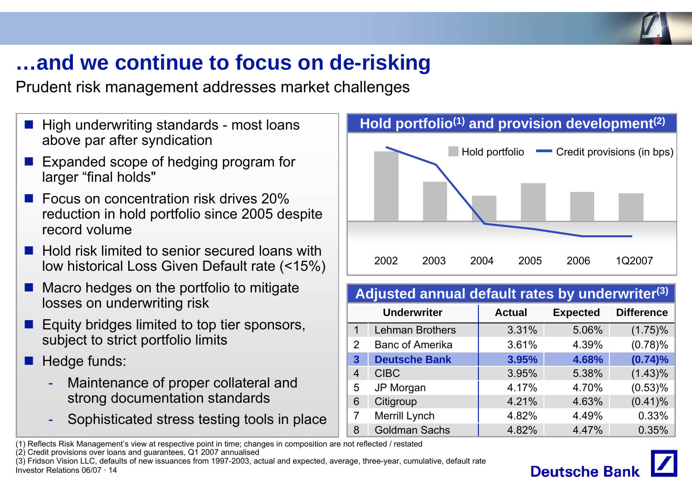![](_page_13_Picture_0.jpeg)

### **…and we continue to focus on de-risking**

Prudent risk management addresses market challenges

- $\blacksquare$  High underwriting standards most loans above par after syndication
- **Expanded scope of hedging program for** larger "final holds"
- $\mathbb{R}^3$  Focus on concentration risk drives 20% reduction in hold portfolio since 2005 despite record volume
- $\blacksquare$  Hold risk limited to senior secured loans with low historical Loss Given Default rate (<15%)
- $\mathbb{R}^2$  Macro hedges on the portfolio to mitigate losses on underwriting risk
- $\mathbb{R}^2$  Equity bridges limited to top tier sponsors, subject to strict portfolio limits
- $\mathbb{R}^2$  Hedge funds:
	- - Maintenance of proper collateral and strong documentation standards
	- -Sophisticated stress testing tools in place

![](_page_13_Figure_12.jpeg)

#### **Adjusted annual default rates by underwriter(3)**

|   | <b>Underwriter</b>     | <b>Actual</b> | <b>Expected</b> | <b>Difference</b> |
|---|------------------------|---------------|-----------------|-------------------|
| 1 | <b>Lehman Brothers</b> | 3.31%         | 5.06%           | $(1.75)\%$        |
| 2 | <b>Banc of Amerika</b> | 3.61%         | 4.39%           | (0.78)%           |
| 3 | <b>Deutsche Bank</b>   | 3.95%         | 4.68%           | (0.74)%           |
| 4 | <b>CIBC</b>            | 3.95%         | 5.38%           | $(1.43)\%$        |
| 5 | JP Morgan              | 4.17%         | 4.70%           | $(0.53)\%$        |
| 6 | Citigroup              | 4.21%         | 4.63%           | $(0.41)\%$        |
| 7 | Merrill Lynch          | 4.82%         | 4.49%           | 0.33%             |
| 8 | <b>Goldman Sachs</b>   | 4.82%         | 4.47%           | 0.35%             |

(1) Reflects Risk Management's view at respective point in time; changes in composition are not reflected / restated

(2) Credit provisions over loans and guarantees, Q1 2007 annualised

Investor Relations 06/07 · 14(3) Fridson Vision LLC, defaults of new issuances from 1997-2003, actual and expected, average, three-year, cumulative, default rate

![](_page_13_Picture_18.jpeg)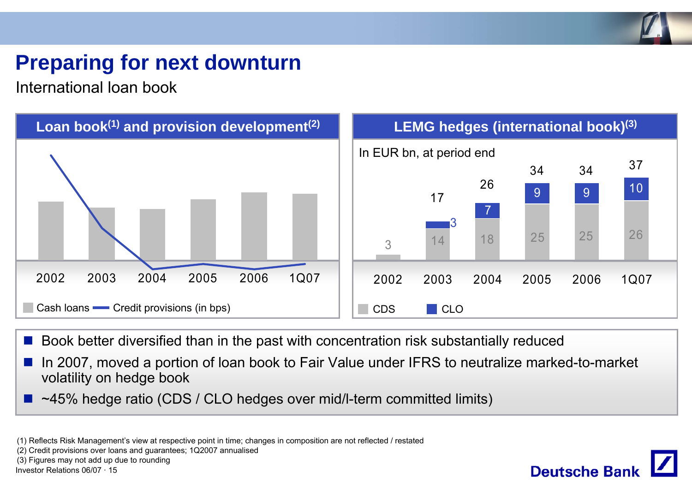![](_page_14_Picture_0.jpeg)

## **Preparing for next downturn**

International loan book

![](_page_14_Figure_3.jpeg)

■ Book better diversified than in the past with concentration risk substantially reduced

F In 2007, moved a portion of loan book to Fair Value under IFRS to neutralize marked-to-market volatility on hedge book

~45% hedge ratio (CDS / CLO hedges over mid/l-term committed limits)

(1) Reflects Risk Management's view at respective point in time; changes in composition are not reflected / restated

(2) Credit provisions over loans and guarantees; 1Q2007 annualised

(3) Figures may not add up due to rounding

Investor Relations 06/07 · 15

![](_page_14_Picture_11.jpeg)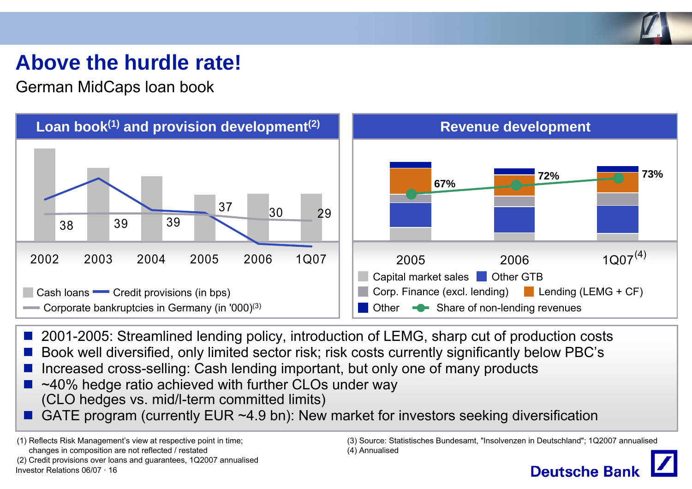![](_page_15_Picture_0.jpeg)

### **Above the hurdle rate!**

German MidCaps loan book

![](_page_15_Figure_3.jpeg)

- 2001-2005: Streamlined lending policy, introduction of LEMG, sharp cut of production costs
- F Book well diversified, only limited sector risk; risk costs currently significantly below PBC's
- F Increased cross-selling: Cash lending important, but only one of many products
- ~40% hedge ratio achieved with further CLOs under way (CLO hedges vs. mid/l-term committed limits)
- b. GATE program (currently EUR ~4.9 bn): New market for investors seeking diversification

Investor Relations 06/07 · 16(1) Reflects Risk Management's view at respective point in time; changes in composition are not reflected / restated (2) Credit provisions over loans and guarantees, 1Q2007 annualised (3) Source: Statistisches Bundesamt, "Insolvenzen in Deutschland"; 1Q2007 annualised (4) Annualised

![](_page_15_Picture_11.jpeg)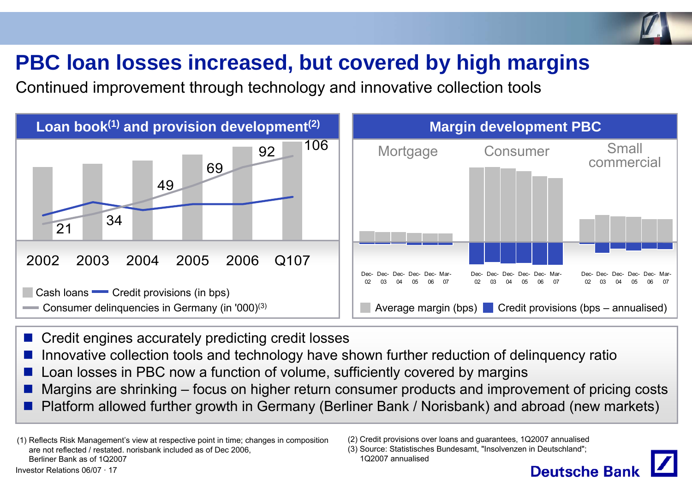## **PBC loan losses increased, but covered by high margins**

Continued improvement through technology and innovative collection tools

![](_page_16_Figure_3.jpeg)

- Credit engines accurately predicting credit losses
- Innovative collection tools and technology have shown further reduction of delinquency ratio
- F Loan losses in PBC now a function of volume, sufficiently covered by margins
- Margins are shrinking focus on higher return consumer products and improvement of pricing costs
- Platform allowed further growth in Germany (Berliner Bank / Norisbank) and abroad (new markets)

Investor Relations 06/07 · 17(1) Reflects Risk Management's view at respective point in time; changes in composition are not reflected / restated. norisbank included as of Dec 2006, Berliner Bank as of 1Q2007

(2) Credit provisions over loans and guarantees, 1Q2007 annualised

<sup>(3)</sup> Source: Statistisches Bundesamt, "Insolvenzen in Deutschland"; 1Q2007 annualised

![](_page_16_Picture_12.jpeg)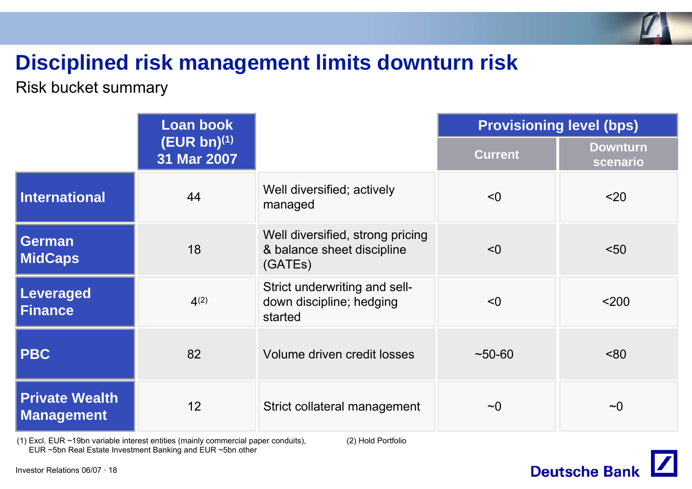![](_page_17_Picture_0.jpeg)

### **Disciplined risk management limits downturn risk**

### Risk bucket summary

|                                            | <b>Loan book</b>                |                                                                           |                | <b>Provisioning level (bps)</b> |
|--------------------------------------------|---------------------------------|---------------------------------------------------------------------------|----------------|---------------------------------|
|                                            | $(EUR bn)^{(1)}$<br>31 Mar 2007 |                                                                           | <b>Current</b> | <b>Downturn</b><br>scenario     |
| <b>International</b>                       | 44                              | Well diversified; actively<br>managed                                     | < 0            | $20$                            |
| <b>German</b><br><b>MidCaps</b>            | 18                              | Well diversified, strong pricing<br>& balance sheet discipline<br>(GATES) | < 0            | < 50                            |
| Leveraged<br><b>Finance</b>                | $4^{(2)}$                       | Strict underwriting and sell-<br>down discipline; hedging<br>started      | < 0            | $200$                           |
| <b>PBC</b>                                 | 82                              | Volume driven credit losses                                               | $~10-60$       | ~80                             |
| <b>Private Wealth</b><br><b>Management</b> | 12                              | Strict collateral management                                              | $\sim\!\!0$    | $\sim$ 0                        |

(1) Excl. EUR ~19bn variable interest entities (mainly commercial paper conduits), EUR ~5bn Real Estate Investment Banking and EUR ~5bn other

(2) Hold Portfolio

![](_page_17_Picture_6.jpeg)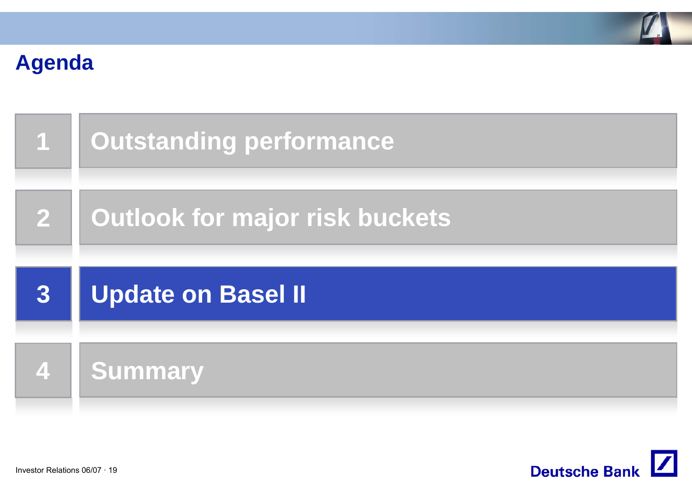![](_page_18_Picture_0.jpeg)

## **Agenda**

| <b>AT</b>    | <b>Outstanding performance</b> |
|--------------|--------------------------------|
| $\mathbf{2}$ | Outlook for major risk buckets |
|              |                                |
| 3            | <b>Update on Basel II</b>      |

![](_page_18_Picture_3.jpeg)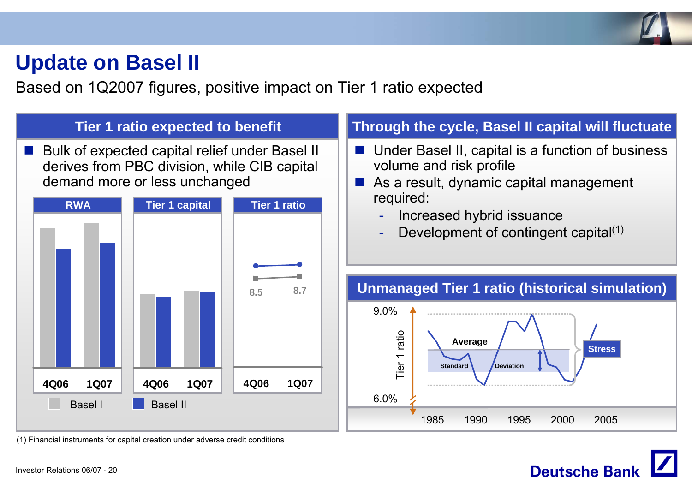![](_page_19_Picture_0.jpeg)

### **Update on Basel II**

Based on 1Q2007 figures, positive impact on Tier 1 ratio expected

![](_page_19_Figure_3.jpeg)

**Deutsche Ban**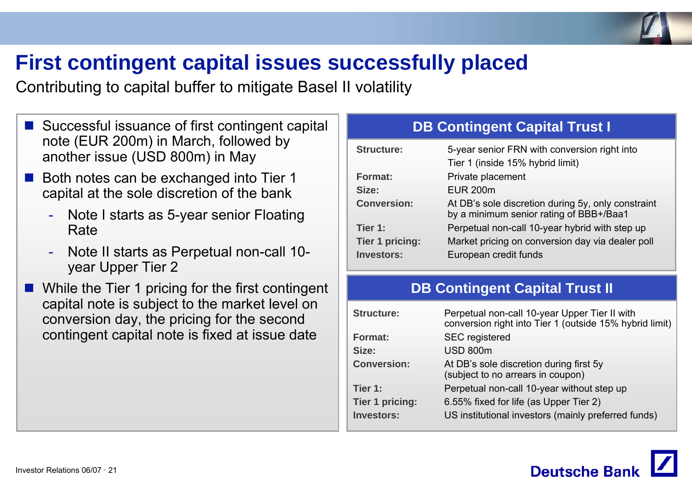![](_page_20_Picture_0.jpeg)

### **First contingent capital issues successfully placed**

Contributing to capital buffer to mitigate Basel II volatility

- Successful issuance of first contingent capital note (EUR 200m) in March, followed by another issue (USD 800m) in May
- F Both notes can be exchanged into Tier 1 capital at the sole discretion of the bank
	- Note I starts as 5-year senior Floating Rate
	- - Note II starts as Perpetual non-call 10 year Upper Tier 2
- While the Tier 1 pricing for the first contingent capital note is subject to the market level on conversion day, the pricing for the second contingent capital note is fixed at issue date

### **DB Contingent Capital Trust I**

| <b>Structure:</b>      | 5-year senior FRN with conversion right into                                                  |
|------------------------|-----------------------------------------------------------------------------------------------|
|                        | Tier 1 (inside 15% hybrid limit)                                                              |
| Format:                | Private placement                                                                             |
| Size:                  | <b>EUR 200m</b>                                                                               |
| <b>Conversion:</b>     | At DB's sole discretion during 5y, only constraint<br>by a minimum senior rating of BBB+/Baa1 |
| Tier 1:                | Perpetual non-call 10-year hybrid with step up                                                |
| <b>Tier 1 pricing:</b> | Market pricing on conversion day via dealer poll                                              |
| <b>Investors:</b>      | European credit funds                                                                         |

### **DB Contingent Capital Trust II**

| <b>Structure:</b>  | Perpetual non-call 10-year Upper Tier II with<br>conversion right into Tier 1 (outside 15% hybrid limit) |
|--------------------|----------------------------------------------------------------------------------------------------------|
| Format:            | <b>SEC</b> registered                                                                                    |
| Size:              | <b>USD 800m</b>                                                                                          |
| <b>Conversion:</b> | At DB's sole discretion during first 5y<br>(subject to no arrears in coupon)                             |
| Tier 1:            | Perpetual non-call 10-year without step up                                                               |
| Tier 1 pricing:    | 6.55% fixed for life (as Upper Tier 2)                                                                   |
| <b>Investors:</b>  | US institutional investors (mainly preferred funds)                                                      |

![](_page_20_Picture_12.jpeg)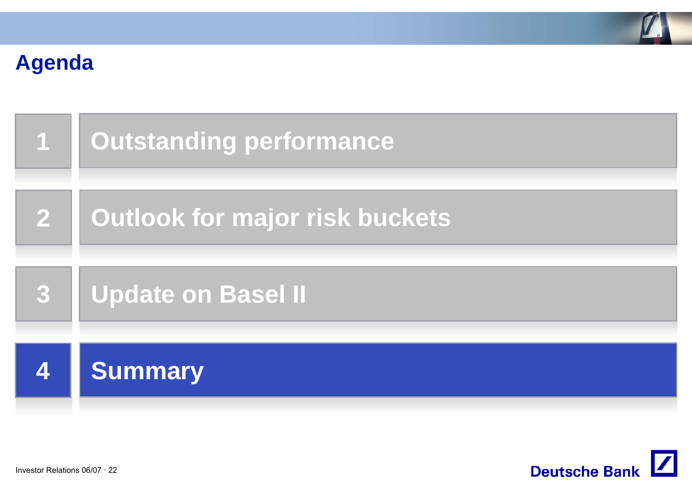![](_page_21_Picture_0.jpeg)

### **Agenda**

| $\overline{\mathbf{1}}$ | <b>Outstanding performance</b> |
|-------------------------|--------------------------------|
| $\mathbf{2}$            | Outlook for major risk buckets |
| 3                       | <b>Update on Basel II</b>      |
|                         | <b>Summary</b>                 |

![](_page_21_Picture_3.jpeg)

Investor Relations 06/07 · 22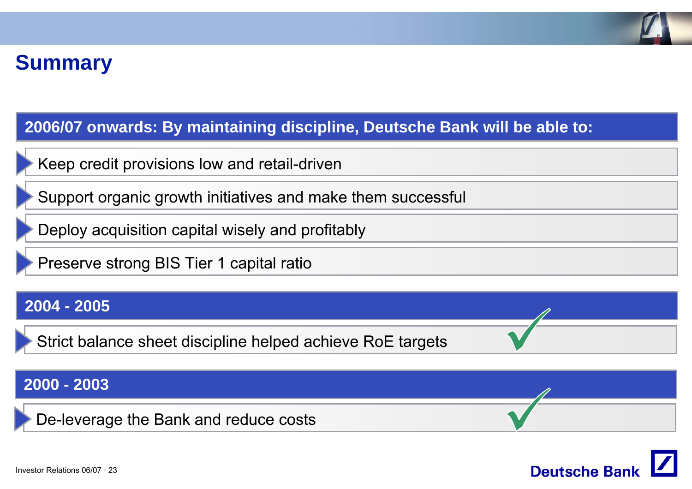![](_page_22_Picture_0.jpeg)

### **Summary**

### **2006/07 onwards: By maintaining discipline, Deutsche Bank will be able to:**

Keep credit provisions low and retail-driven

Support organic growth initiatives and make them successful

Deploy acquisition capital wisely and profitably

Preserve strong BIS Tier 1 capital ratio

### **2004 - 2005**

Strict balance sheet discipline helped achieve RoE targets

### **2000 - 2003**

De-leverage the Bank and reduce costs

![](_page_22_Picture_11.jpeg)